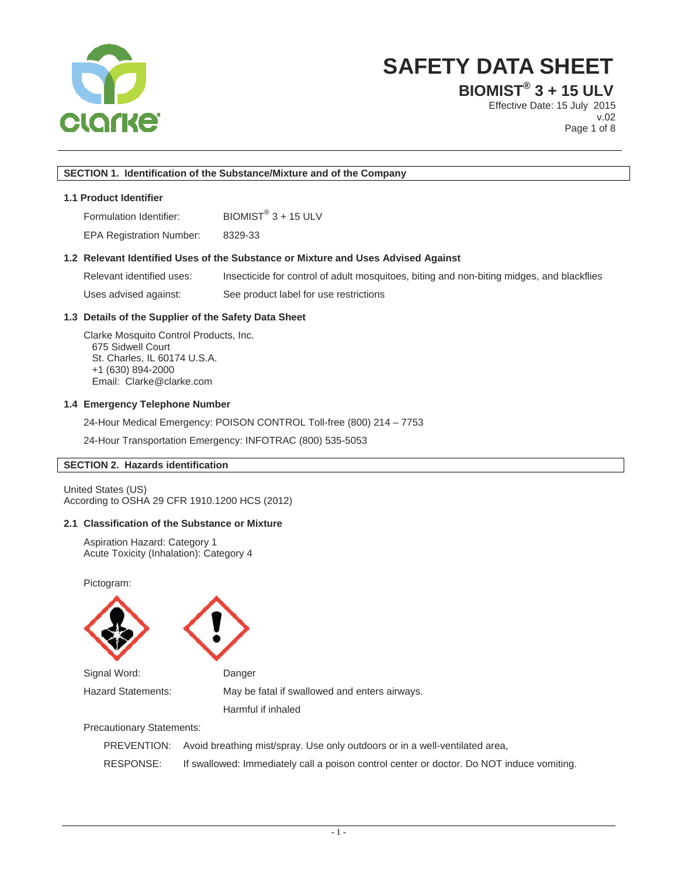

**BIOMIST® 3 + 15 ULV**

Effective Date: 15 July 2015 v.02 Page 1 of 8

## **SECTION 1. Identification of the Substance/Mixture and of the Company**

## **1.1 Product Identifier**

Formulation Identifier:  $BIOMIST^{\circledR}$  3 + 15 ULV

EPA Registration Number: 8329-33

## **1.2 Relevant Identified Uses of the Substance or Mixture and Uses Advised Against**

Relevant identified uses: Insecticide for control of adult mosquitoes, biting and non-biting midges, and blackflies Uses advised against: See product label for use restrictions

## **1.3 Details of the Supplier of the Safety Data Sheet**

Clarke Mosquito Control Products, Inc. 675 Sidwell Court St. Charles, IL 60174 U.S.A. +1 (630) 894-2000 Email: Clarke@clarke.com

#### **1.4 Emergency Telephone Number**

24-Hour Medical Emergency: POISON CONTROL Toll-free (800) 214 – 7753

24-Hour Transportation Emergency: INFOTRAC (800) 535-5053

## **SECTION 2. Hazards identification**

United States (US) According to OSHA 29 CFR 1910.1200 HCS (2012)

### **2.1 Classification of the Substance or Mixture**

Aspiration Hazard: Category 1 Acute Toxicity (Inhalation): Category 4

Pictogram:





Hazard Statements: May be fatal if swallowed and enters airways.

Harmful if inhaled

Precautionary Statements:

|           | PREVENTION: Avoid breathing mist/spray. Use only outdoors or in a well-ventilated area,   |
|-----------|-------------------------------------------------------------------------------------------|
| RESPONSE: | If swallowed: Immediately call a poison control center or doctor. Do NOT induce vomiting. |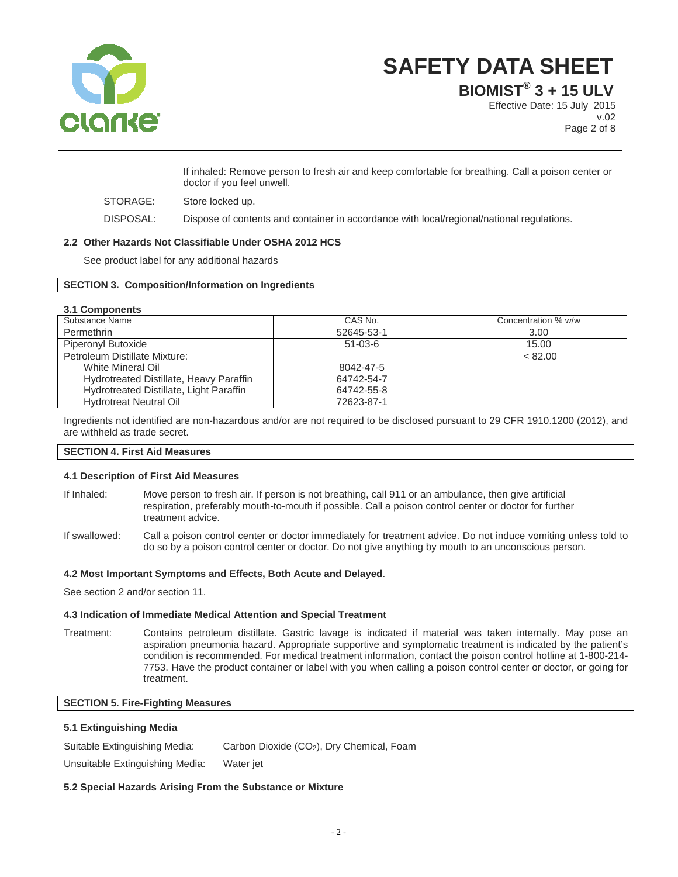

**BIOMIST® 3 + 15 ULV**

Effective Date: 15 July 2015 v.02 Page 2 of 8

If inhaled: Remove person to fresh air and keep comfortable for breathing. Call a poison center or doctor if you feel unwell.

STORAGE: Store locked up.

DISPOSAL: Dispose of contents and container in accordance with local/regional/national regulations.

## **2.2 Other Hazards Not Classifiable Under OSHA 2012 HCS**

See product label for any additional hazards

#### **SECTION 3. Composition/Information on Ingredients**

#### **3.1 Components**

| Substance Name                          | CAS No.       | Concentration % w/w |
|-----------------------------------------|---------------|---------------------|
| Permethrin                              | 52645-53-1    | 3.00                |
| Piperonyl Butoxide                      | $51 - 03 - 6$ | 15.00               |
| Petroleum Distillate Mixture:           |               | < 82.00             |
| White Mineral Oil                       | 8042-47-5     |                     |
| Hydrotreated Distillate, Heavy Paraffin | 64742-54-7    |                     |
| Hydrotreated Distillate, Light Paraffin | 64742-55-8    |                     |
| <b>Hydrotreat Neutral Oil</b>           | 72623-87-1    |                     |

Ingredients not identified are non-hazardous and/or are not required to be disclosed pursuant to 29 CFR 1910.1200 (2012), and are withheld as trade secret.

## **SECTION 4. First Aid Measures**

#### **4.1 Description of First Aid Measures**

- If Inhaled: Move person to fresh air. If person is not breathing, call 911 or an ambulance, then give artificial respiration, preferably mouth-to-mouth if possible. Call a poison control center or doctor for further treatment advice.
- If swallowed: Call a poison control center or doctor immediately for treatment advice. Do not induce vomiting unless told to do so by a poison control center or doctor. Do not give anything by mouth to an unconscious person.

#### **4.2 Most Important Symptoms and Effects, Both Acute and Delayed**.

See section 2 and/or section 11.

#### **4.3 Indication of Immediate Medical Attention and Special Treatment**

Treatment: Contains petroleum distillate. Gastric lavage is indicated if material was taken internally. May pose an aspiration pneumonia hazard. Appropriate supportive and symptomatic treatment is indicated by the patient's condition is recommended. For medical treatment information, contact the poison control hotline at 1-800-214- 7753. Have the product container or label with you when calling a poison control center or doctor, or going for treatment.

## **SECTION 5. Fire-Fighting Measures**

#### **5.1 Extinguishing Media**

Suitable Extinguishing Media: Carbon Dioxide (CO<sub>2</sub>), Dry Chemical, Foam

Unsuitable Extinguishing Media: Water jet

## **5.2 Special Hazards Arising From the Substance or Mixture**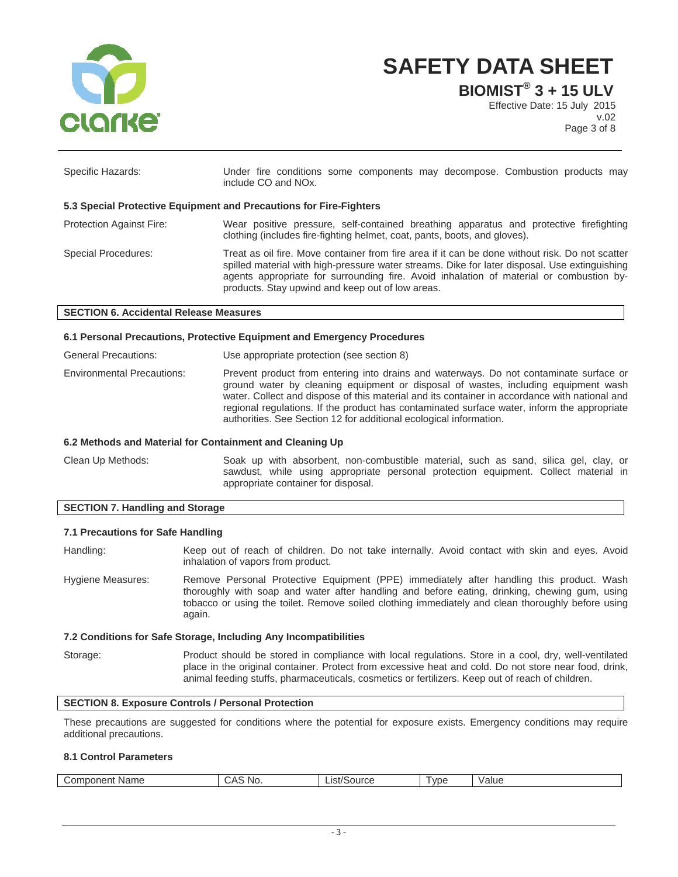

**BIOMIST® 3 + 15 ULV**

Effective Date: 15 July 2015 v.02 Page 3 of 8

| Specific Hazards:                                                  | Under fire conditions some components may decompose. Combustion products may<br>include CO and NO <sub>x</sub> .                                                                                                                                                                                                                                |  |  |
|--------------------------------------------------------------------|-------------------------------------------------------------------------------------------------------------------------------------------------------------------------------------------------------------------------------------------------------------------------------------------------------------------------------------------------|--|--|
| 5.3 Special Protective Equipment and Precautions for Fire-Fighters |                                                                                                                                                                                                                                                                                                                                                 |  |  |
| <b>Protection Against Fire:</b>                                    | Wear positive pressure, self-contained breathing apparatus and protective firefighting<br>clothing (includes fire-fighting helmet, coat, pants, boots, and gloves).                                                                                                                                                                             |  |  |
| <b>Special Procedures:</b>                                         | Treat as oil fire. Move container from fire area if it can be done without risk. Do not scatter<br>spilled material with high-pressure water streams. Dike for later disposal. Use extinguishing<br>agents appropriate for surrounding fire. Avoid inhalation of material or combustion by-<br>products. Stay upwind and keep out of low areas. |  |  |

#### **SECTION 6. Accidental Release Measures**

#### **6.1 Personal Precautions, Protective Equipment and Emergency Procedures**

| <b>General Precautions:</b>       | Use appropriate protection (see section 8)                                                                                                                                                                                                                                                                                                                                                                                                         |
|-----------------------------------|----------------------------------------------------------------------------------------------------------------------------------------------------------------------------------------------------------------------------------------------------------------------------------------------------------------------------------------------------------------------------------------------------------------------------------------------------|
| <b>Environmental Precautions:</b> | Prevent product from entering into drains and waterways. Do not contaminate surface or<br>ground water by cleaning equipment or disposal of wastes, including equipment wash<br>water. Collect and dispose of this material and its container in accordance with national and<br>regional regulations. If the product has contaminated surface water, inform the appropriate<br>authorities. See Section 12 for additional ecological information. |

#### **6.2 Methods and Material for Containment and Cleaning Up**

Clean Up Methods: Soak up with absorbent, non-combustible material, such as sand, silica gel, clay, or sawdust, while using appropriate personal protection equipment. Collect material in appropriate container for disposal.

#### **SECTION 7. Handling and Storage**

#### **7.1 Precautions for Safe Handling**

Handling: Keep out of reach of children. Do not take internally. Avoid contact with skin and eyes. Avoid inhalation of vapors from product.

Hygiene Measures: Remove Personal Protective Equipment (PPE) immediately after handling this product. Wash thoroughly with soap and water after handling and before eating, drinking, chewing gum, using tobacco or using the toilet. Remove soiled clothing immediately and clean thoroughly before using again.

#### **7.2 Conditions for Safe Storage, Including Any Incompatibilities**

Storage: Product should be stored in compliance with local regulations. Store in a cool, dry, well-ventilated place in the original container. Protect from excessive heat and cold. Do not store near food, drink, animal feeding stuffs, pharmaceuticals, cosmetics or fertilizers. Keep out of reach of children.

## **SECTION 8. Exposure Controls / Personal Protection**

These precautions are suggested for conditions where the potential for exposure exists. Emergency conditions may require additional precautions.

#### **8.1 Control Parameters**

| .<br>Name<br>$\cap$ m<br>nponent<br>וטט | <b>NO</b><br>$\cdots$<br>. . | List/C<br>Source | l vpe | Value |
|-----------------------------------------|------------------------------|------------------|-------|-------|
|                                         |                              |                  |       |       |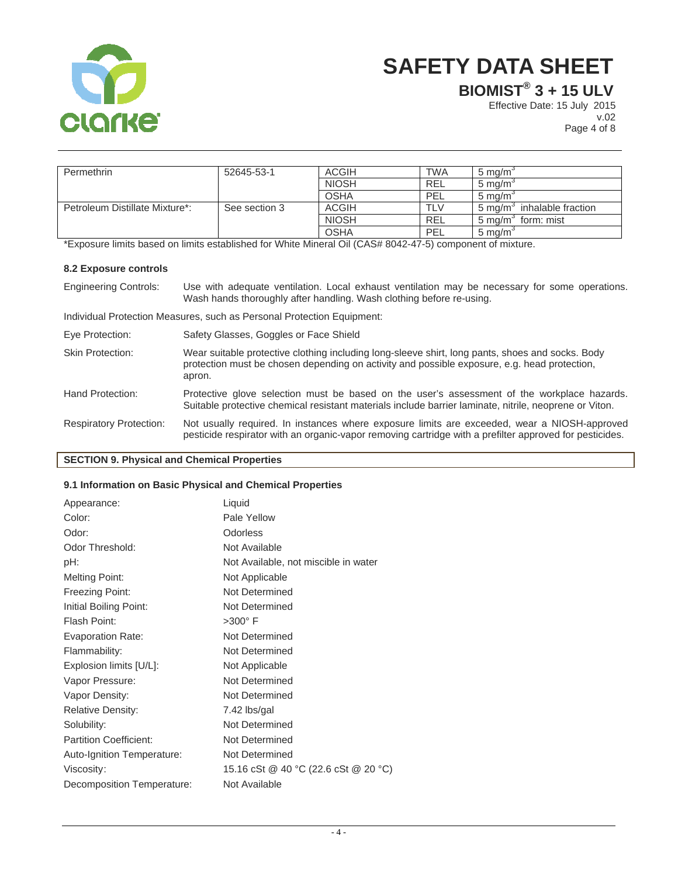

**BIOMIST® 3 + 15 ULV**

Effective Date: 15 July 2015 v.02 Page 4 of 8

Permethrin 52645-53-1 | ACGIH | TWA | 5 mg/m<sup>3</sup> NIOSH REL 5 mg/m<sup>3</sup><br>OSHA PEL 5 mg/m<sup>3</sup> OSHA PEL 5 mg/m<sup>3</sup> Petroleum Distillate Mixture\*: See section 3 ACGIH TLV<br>NIOSH REL  $5 \text{ mg/m}^3$  inhalable fraction NIOSH REL 5 mg/m<sup>3</sup> form: mist OSHA PEL 5 mg/m<sup>3</sup>

\*Exposure limits based on limits established for White Mineral Oil (CAS# 8042-47-5) component of mixture.

## **8.2 Exposure controls**

Engineering Controls: Use with adequate ventilation. Local exhaust ventilation may be necessary for some operations. Wash hands thoroughly after handling. Wash clothing before re-using.

Individual Protection Measures, such as Personal Protection Equipment:

| Eye Protection:                | Safety Glasses, Goggles or Face Shield                                                                                                                                                                     |
|--------------------------------|------------------------------------------------------------------------------------------------------------------------------------------------------------------------------------------------------------|
| Skin Protection:               | Wear suitable protective clothing including long-sleeve shirt, long pants, shoes and socks. Body<br>protection must be chosen depending on activity and possible exposure, e.g. head protection,<br>apron. |
| Hand Protection:               | Protective glove selection must be based on the user's assessment of the workplace hazards.<br>Suitable protective chemical resistant materials include barrier laminate, nitrile, neoprene or Viton.      |
| <b>Respiratory Protection:</b> | Not usually required. In instances where exposure limits are exceeded, wear a NIOSH-approved<br>pesticide respirator with an organic-vapor removing cartridge with a prefilter approved for pesticides.    |

## **SECTION 9. Physical and Chemical Properties**

#### **9.1 Information on Basic Physical and Chemical Properties**

| Appearance:                   | Liquid                               |
|-------------------------------|--------------------------------------|
| Color:                        | Pale Yellow                          |
| Odor:                         | Odorless                             |
| Odor Threshold:               | Not Available                        |
| pH:                           | Not Available, not miscible in water |
| <b>Melting Point:</b>         | Not Applicable                       |
| <b>Freezing Point:</b>        | Not Determined                       |
| Initial Boiling Point:        | Not Determined                       |
| Flash Point:                  | $>300^\circ$ F                       |
| <b>Evaporation Rate:</b>      | Not Determined                       |
| Flammability:                 | Not Determined                       |
| Explosion limits [U/L]:       | Not Applicable                       |
| Vapor Pressure:               | Not Determined                       |
| Vapor Density:                | Not Determined                       |
| <b>Relative Density:</b>      | 7.42 lbs/gal                         |
| Solubility:                   | Not Determined                       |
| <b>Partition Coefficient:</b> | Not Determined                       |
| Auto-Ignition Temperature:    | Not Determined                       |
| Viscosity:                    | 15.16 cSt @ 40 °C (22.6 cSt @ 20 °C) |
| Decomposition Temperature:    | Not Available                        |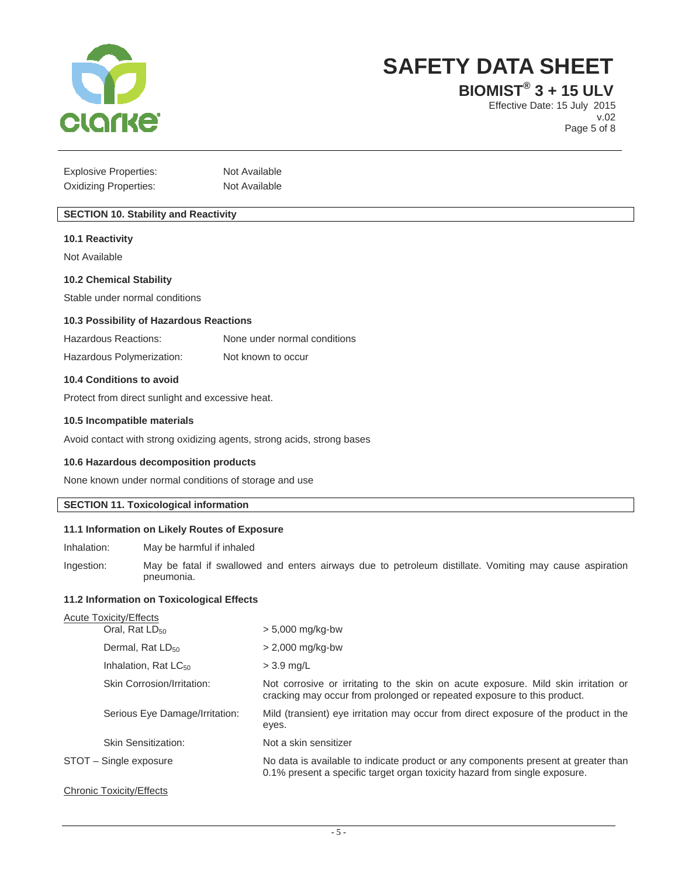

**BIOMIST® 3 + 15 ULV**

Effective Date: 15 July 2015 v.02 Page 5 of 8

| <b>Explosive Properties:</b> | Not Available |
|------------------------------|---------------|
| <b>Oxidizing Properties:</b> | Not Available |

## **SECTION 10. Stability and Reactivity**

#### **10.1 Reactivity**

Not Available

#### **10.2 Chemical Stability**

Stable under normal conditions

#### **10.3 Possibility of Hazardous Reactions**

| Hazardous Reactions: | None under normal conditions |
|----------------------|------------------------------|
|                      |                              |

Hazardous Polymerization: Not known to occur

#### **10.4 Conditions to avoid**

Protect from direct sunlight and excessive heat.

#### **10.5 Incompatible materials**

Avoid contact with strong oxidizing agents, strong acids, strong bases

#### **10.6 Hazardous decomposition products**

None known under normal conditions of storage and use

## **SECTION 11. Toxicological information**

#### **11.1 Information on Likely Routes of Exposure**

Inhalation: May be harmful if inhaled

Ingestion: May be fatal if swallowed and enters airways due to petroleum distillate. Vomiting may cause aspiration pneumonia.

#### **11.2 Information on Toxicological Effects**

| <b>Acute Toxicity/Effects</b>    |                                                                                                                                                                  |
|----------------------------------|------------------------------------------------------------------------------------------------------------------------------------------------------------------|
| Oral, Rat LD <sub>50</sub>       | $> 5,000$ mg/kg-bw                                                                                                                                               |
| Dermal, Rat LD <sub>50</sub>     | $> 2,000$ mg/kg-bw                                                                                                                                               |
| Inhalation, Rat LC <sub>50</sub> | $>$ 3.9 mg/L                                                                                                                                                     |
| Skin Corrosion/Irritation:       | Not corrosive or irritating to the skin on acute exposure. Mild skin irritation or<br>cracking may occur from prolonged or repeated exposure to this product.    |
| Serious Eye Damage/Irritation:   | Mild (transient) eye irritation may occur from direct exposure of the product in the<br>eyes.                                                                    |
| Skin Sensitization:              | Not a skin sensitizer                                                                                                                                            |
| STOT - Single exposure           | No data is available to indicate product or any components present at greater than<br>0.1% present a specific target organ toxicity hazard from single exposure. |
| <b>Chronic Toxicity/Effects</b>  |                                                                                                                                                                  |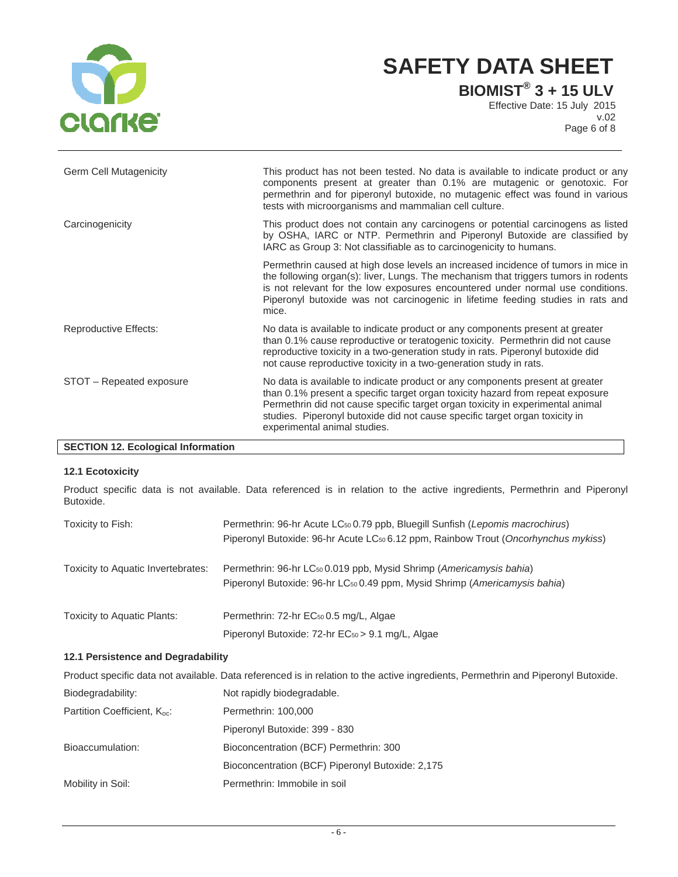

**BIOMIST® 3 + 15 ULV**

Effective Date: 15 July 2015 v.02 Page 6 of 8

| <b>Germ Cell Mutagenicity</b> | This product has not been tested. No data is available to indicate product or any<br>components present at greater than 0.1% are mutagenic or genotoxic. For<br>permethrin and for piperonyl butoxide, no mutagenic effect was found in various<br>tests with microorganisms and mammalian cell culture.                                                         |
|-------------------------------|------------------------------------------------------------------------------------------------------------------------------------------------------------------------------------------------------------------------------------------------------------------------------------------------------------------------------------------------------------------|
| Carcinogenicity               | This product does not contain any carcinogens or potential carcinogens as listed<br>by OSHA, IARC or NTP. Permethrin and Piperonyl Butoxide are classified by<br>IARC as Group 3: Not classifiable as to carcinogenicity to humans.                                                                                                                              |
|                               | Permethrin caused at high dose levels an increased incidence of tumors in mice in<br>the following organ(s): liver, Lungs. The mechanism that triggers tumors in rodents<br>is not relevant for the low exposures encountered under normal use conditions.<br>Piperonyl butoxide was not carcinogenic in lifetime feeding studies in rats and<br>mice.           |
| Reproductive Effects:         | No data is available to indicate product or any components present at greater<br>than 0.1% cause reproductive or teratogenic toxicity. Permethrin did not cause<br>reproductive toxicity in a two-generation study in rats. Piperonyl butoxide did<br>not cause reproductive toxicity in a two-generation study in rats.                                         |
| STOT - Repeated exposure      | No data is available to indicate product or any components present at greater<br>than 0.1% present a specific target organ toxicity hazard from repeat exposure<br>Permethrin did not cause specific target organ toxicity in experimental animal<br>studies. Piperonyl butoxide did not cause specific target organ toxicity in<br>experimental animal studies. |

## **SECTION 12. Ecological Information**

## **12.1 Ecotoxicity**

Product specific data is not available. Data referenced is in relation to the active ingredients, Permethrin and Piperonyl Butoxide.

| Toxicity to Fish:                  | Permethrin: 96-hr Acute LC <sub>50</sub> 0.79 ppb, Bluegill Sunfish (Lepomis macrochirus)<br>Piperonyl Butoxide: 96-hr Acute LC <sub>50</sub> 6.12 ppm, Rainbow Trout (Oncorhynchus mykiss) |
|------------------------------------|---------------------------------------------------------------------------------------------------------------------------------------------------------------------------------------------|
| Toxicity to Aquatic Invertebrates: | Permethrin: 96-hr LC <sub>50</sub> 0.019 ppb, Mysid Shrimp (Americamysis bahia)<br>Piperonyl Butoxide: 96-hr LC <sub>50</sub> 0.49 ppm, Mysid Shrimp (Americamysis bahia)                   |
| Toxicity to Aquatic Plants:        | Permethrin: 72-hr EC <sub>50</sub> 0.5 mg/L, Algae                                                                                                                                          |

Piperonyl Butoxide: 72-hr EC<sub>50</sub> > 9.1 mg/L, Algae

## **12.1 Persistence and Degradability**

| Product specific data not available. Data referenced is in relation to the active ingredients, Permethrin and Piperonyl Butoxide. |                                                  |  |  |  |
|-----------------------------------------------------------------------------------------------------------------------------------|--------------------------------------------------|--|--|--|
| Biodegradability:                                                                                                                 | Not rapidly biodegradable.                       |  |  |  |
| Partition Coefficient, K <sub>oc</sub> :                                                                                          | Permethrin: 100,000                              |  |  |  |
|                                                                                                                                   | Piperonyl Butoxide: 399 - 830                    |  |  |  |
| Bioaccumulation:                                                                                                                  | Bioconcentration (BCF) Permethrin: 300           |  |  |  |
|                                                                                                                                   | Bioconcentration (BCF) Piperonyl Butoxide: 2,175 |  |  |  |
| Mobility in Soil:                                                                                                                 | Permethrin: Immobile in soil                     |  |  |  |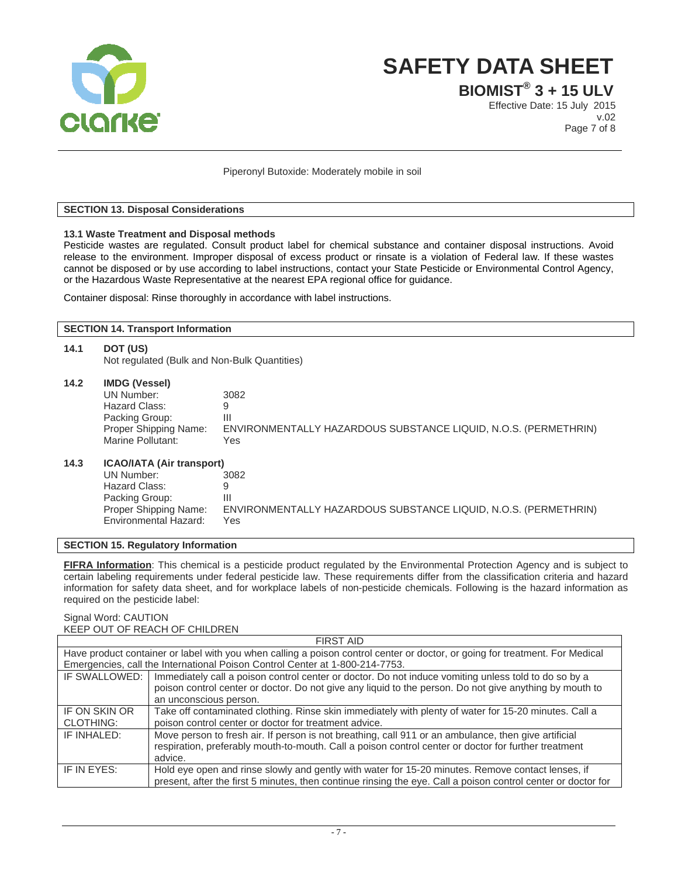

**BIOMIST® 3 + 15 ULV**

Effective Date: 15 July 2015 v.02 Page 7 of 8

Piperonyl Butoxide: Moderately mobile in soil

## **SECTION 13. Disposal Considerations**

#### **13.1 Waste Treatment and Disposal methods**

Pesticide wastes are regulated. Consult product label for chemical substance and container disposal instructions. Avoid release to the environment. Improper disposal of excess product or rinsate is a violation of Federal law. If these wastes cannot be disposed or by use according to label instructions, contact your State Pesticide or Environmental Control Agency, or the Hazardous Waste Representative at the nearest EPA regional office for guidance.

Container disposal: Rinse thoroughly in accordance with label instructions.

**SECTION 14. Transport Information** 

| 14.1 | DOT (US)<br>Not regulated (Bulk and Non-Bulk Quantities)                                                                            |                                                                                            |  |  |  |
|------|-------------------------------------------------------------------------------------------------------------------------------------|--------------------------------------------------------------------------------------------|--|--|--|
| 14.2 | <b>IMDG (Vessel)</b><br>UN Number:<br>Hazard Class:<br>Packing Group:<br>Proper Shipping Name:<br>Marine Pollutant:                 | 3082<br>9<br>Ш<br>ENVIRONMENTALLY HAZARDOUS SUBSTANCE LIQUID, N.O.S. (PERMETHRIN)<br>Yes   |  |  |  |
| 14.3 | <b>ICAO/IATA (Air transport)</b><br>UN Number:<br>Hazard Class:<br>Packing Group:<br>Proper Shipping Name:<br>Environmental Hazard: | 3082<br>9<br>III<br>ENVIRONMENTALLY HAZARDOUS SUBSTANCE LIQUID, N.O.S. (PERMETHRIN)<br>Yes |  |  |  |
|      | ___________                                                                                                                         |                                                                                            |  |  |  |

**SECTION 15. Regulatory Information** 

**FIFRA Information**: This chemical is a pesticide product regulated by the Environmental Protection Agency and is subject to certain labeling requirements under federal pesticide law. These requirements differ from the classification criteria and hazard information for safety data sheet, and for workplace labels of non-pesticide chemicals. Following is the hazard information as required on the pesticide label:

#### Signal Word: CAUTION KEEP OUT OF REACH OF CHILDREN

| <b>FIRST AID</b>                                                                                                             |                                                                                                               |  |  |  |
|------------------------------------------------------------------------------------------------------------------------------|---------------------------------------------------------------------------------------------------------------|--|--|--|
| Have product container or label with you when calling a poison control center or doctor, or going for treatment. For Medical |                                                                                                               |  |  |  |
| Emergencies, call the International Poison Control Center at 1-800-214-7753.                                                 |                                                                                                               |  |  |  |
| IF SWALLOWED:                                                                                                                | Immediately call a poison control center or doctor. Do not induce vomiting unless told to do so by a          |  |  |  |
|                                                                                                                              | poison control center or doctor. Do not give any liquid to the person. Do not give anything by mouth to       |  |  |  |
|                                                                                                                              | an unconscious person.                                                                                        |  |  |  |
| IF ON SKIN OR                                                                                                                | Take off contaminated clothing. Rinse skin immediately with plenty of water for 15-20 minutes. Call a         |  |  |  |
| <b>CLOTHING:</b>                                                                                                             | poison control center or doctor for treatment advice.                                                         |  |  |  |
| IF INHALED:                                                                                                                  | Move person to fresh air. If person is not breathing, call 911 or an ambulance, then give artificial          |  |  |  |
|                                                                                                                              | respiration, preferably mouth-to-mouth. Call a poison control center or doctor for further treatment          |  |  |  |
|                                                                                                                              | advice.                                                                                                       |  |  |  |
| IF IN EYES:                                                                                                                  | Hold eye open and rinse slowly and gently with water for 15-20 minutes. Remove contact lenses, if             |  |  |  |
|                                                                                                                              | present, after the first 5 minutes, then continue rinsing the eye. Call a poison control center or doctor for |  |  |  |